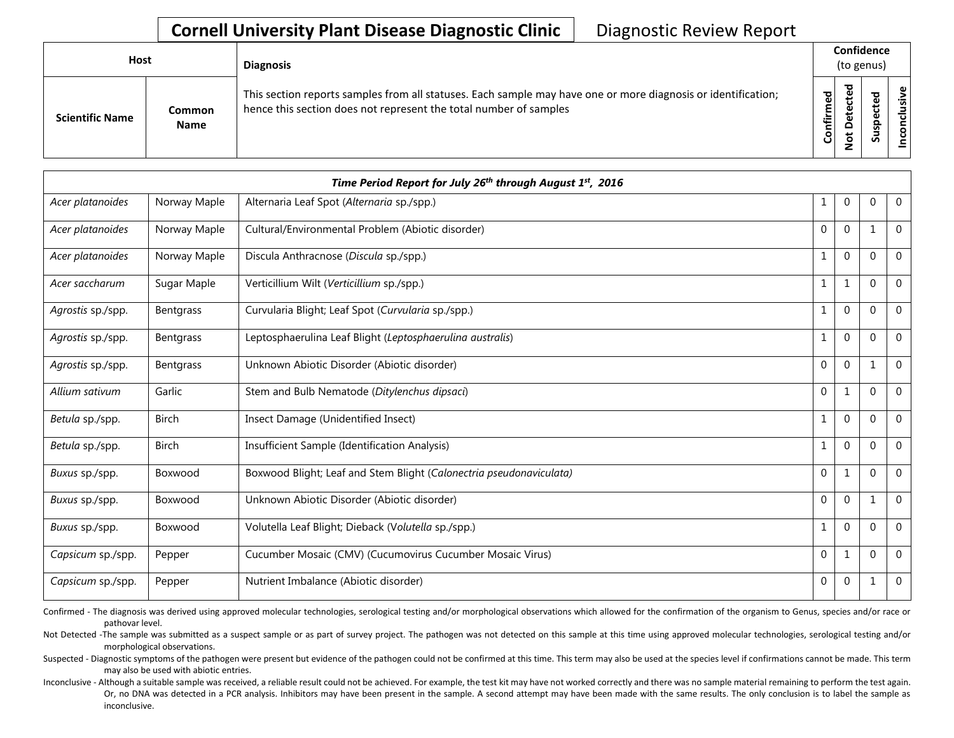| Host                   |                              | <b>Diagnosis</b>                                                                                                                                                                   | Confidence<br>(to genus) |                                              |        |              |
|------------------------|------------------------------|------------------------------------------------------------------------------------------------------------------------------------------------------------------------------------|--------------------------|----------------------------------------------|--------|--------------|
| <b>Scientific Name</b> | <b>Common</b><br><b>Name</b> | This section reports samples from all statuses. Each sample may have one or more diagnosis or identification;<br>hence this section does not represent the total number of samples | Confirmed                | ъ<br>ن<br>Φ<br>ىپ<br>≏<br>ىپ<br>$\circ$<br>- | ᅙ<br>Ū | .≝<br>.<br>- |

|                   |              | Time Period Report for July 26th through August 1st, 2016           |              |                |             |                |
|-------------------|--------------|---------------------------------------------------------------------|--------------|----------------|-------------|----------------|
| Acer platanoides  | Norway Maple | Alternaria Leaf Spot (Alternaria sp./spp.)                          | 1            | $\mathbf{0}$   | $\Omega$    | $\mathbf{0}$   |
| Acer platanoides  | Norway Maple | Cultural/Environmental Problem (Abiotic disorder)                   | $\Omega$     | $\overline{0}$ | $\mathbf 1$ | $\mathbf 0$    |
| Acer platanoides  | Norway Maple | Discula Anthracnose (Discula sp./spp.)                              | $\mathbf{1}$ | $\Omega$       | $\Omega$    | $\Omega$       |
| Acer saccharum    | Sugar Maple  | Verticillium Wilt (Verticillium sp./spp.)                           | 1            | 1              | $\Omega$    | $\overline{0}$ |
| Agrostis sp./spp. | Bentgrass    | Curvularia Blight; Leaf Spot (Curvularia sp./spp.)                  | $\mathbf{1}$ | $\mathbf 0$    | $\Omega$    | $\mathbf 0$    |
| Agrostis sp./spp. | Bentgrass    | Leptosphaerulina Leaf Blight (Leptosphaerulina australis)           | 1            | $\mathbf{0}$   | $\Omega$    | $\mathbf 0$    |
| Agrostis sp./spp. | Bentgrass    | Unknown Abiotic Disorder (Abiotic disorder)                         | $\Omega$     | $\Omega$       | 1           | $\Omega$       |
| Allium sativum    | Garlic       | Stem and Bulb Nematode (Ditylenchus dipsaci)                        | $\mathbf{0}$ | 1              | $\Omega$    | $\overline{0}$ |
| Betula sp./spp.   | <b>Birch</b> | Insect Damage (Unidentified Insect)                                 | $\mathbf{1}$ | $\mathbf{0}$   | $\Omega$    | $\Omega$       |
| Betula sp./spp.   | <b>Birch</b> | Insufficient Sample (Identification Analysis)                       | $\mathbf{1}$ | $\mathbf{0}$   | $\Omega$    | $\Omega$       |
| Buxus sp./spp.    | Boxwood      | Boxwood Blight; Leaf and Stem Blight (Calonectria pseudonaviculata) | $\Omega$     | $\mathbf{1}$   | $\Omega$    | $\theta$       |
| Buxus sp./spp.    | Boxwood      | Unknown Abiotic Disorder (Abiotic disorder)                         | $\Omega$     | $\Omega$       | 1           | $\mathbf 0$    |
| Buxus sp./spp.    | Boxwood      | Volutella Leaf Blight; Dieback (Volutella sp./spp.)                 | 1            | $\Omega$       | $\Omega$    | $\Omega$       |
| Capsicum sp./spp. | Pepper       | Cucumber Mosaic (CMV) (Cucumovirus Cucumber Mosaic Virus)           | $\Omega$     | $\mathbf{1}$   | $\Omega$    | $\mathbf 0$    |
| Capsicum sp./spp. | Pepper       | Nutrient Imbalance (Abiotic disorder)                               | $\Omega$     | $\theta$       | $\mathbf 1$ | $\mathbf 0$    |

Confirmed - The diagnosis was derived using approved molecular technologies, serological testing and/or morphological observations which allowed for the confirmation of the organism to Genus, species and/or race or pathovar level.

Not Detected -The sample was submitted as a suspect sample or as part of survey project. The pathogen was not detected on this sample at this time using approved molecular technologies, serological testing and/or morphological observations.

Suspected - Diagnostic symptoms of the pathogen were present but evidence of the pathogen could not be confirmed at this time. This term may also be used at the species level if confirmations cannot be made. This term may also be used with abiotic entries.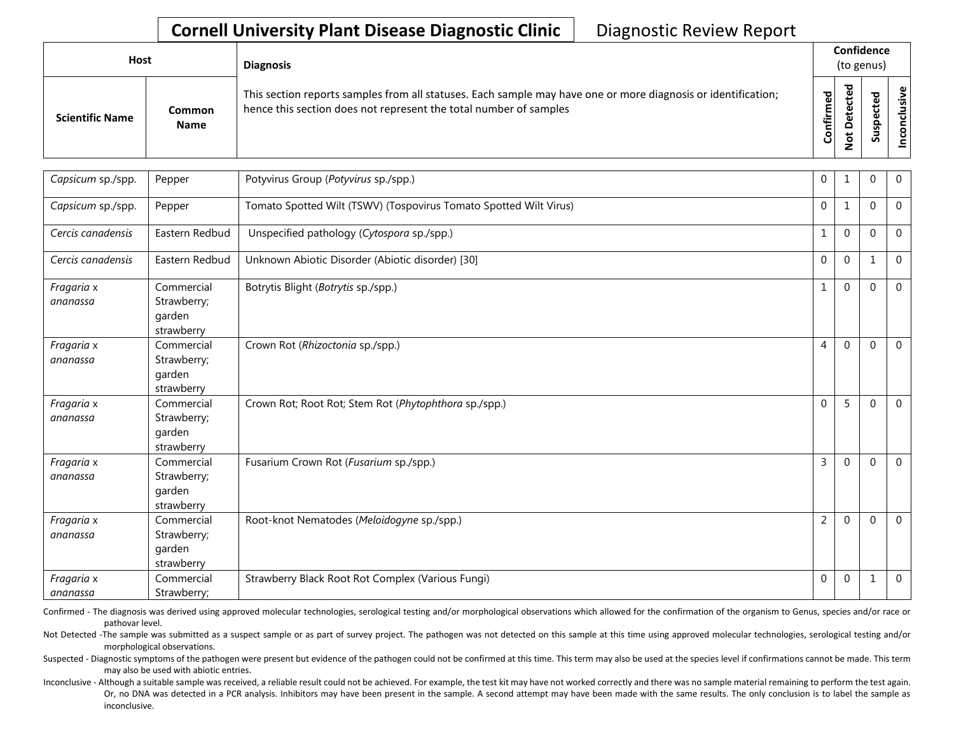| Host                   |                       | <b>Diagnosis</b>                                                                                                                                                                   |           | Confidence<br>(to genus) |                                 |            |  |  |  |  |
|------------------------|-----------------------|------------------------------------------------------------------------------------------------------------------------------------------------------------------------------------|-----------|--------------------------|---------------------------------|------------|--|--|--|--|
| <b>Scientific Name</b> | Common<br><b>Name</b> | This section reports samples from all statuses. Each sample may have one or more diagnosis or identification;<br>hence this section does not represent the total number of samples | Confirmed | ᇃ<br>$\circ$<br>سه       | ъ<br>Φ<br>∸<br>o<br>௨<br>š<br>n | usive<br>۰ |  |  |  |  |

| Capsicum sp./spp.      | Pepper                                            | Potyvirus Group (Potyvirus sp./spp.)                              | 0              | $\mathbf{1}$ | $\mathbf{0}$ | $\overline{0}$ |
|------------------------|---------------------------------------------------|-------------------------------------------------------------------|----------------|--------------|--------------|----------------|
| Capsicum sp./spp.      | Pepper                                            | Tomato Spotted Wilt (TSWV) (Tospovirus Tomato Spotted Wilt Virus) | $\mathbf 0$    | $\mathbf{1}$ | $\Omega$     | $\mathbf 0$    |
| Cercis canadensis      | Eastern Redbud                                    | Unspecified pathology (Cytospora sp./spp.)                        | $\mathbf{1}$   | $\mathbf 0$  | $\mathbf{0}$ | $\mathbf{0}$   |
| Cercis canadensis      | Eastern Redbud                                    | Unknown Abiotic Disorder (Abiotic disorder) [30]                  | $\mathbf 0$    | $\mathbf 0$  | 1            | $\mathbf 0$    |
| Fragaria x<br>ananassa | Commercial<br>Strawberry;<br>garden<br>strawberry | Botrytis Blight (Botrytis sp./spp.)                               | $\mathbf{1}$   | $\Omega$     | $\Omega$     | $\mathbf 0$    |
| Fragaria x<br>ananassa | Commercial<br>Strawberry;<br>garden<br>strawberry | Crown Rot (Rhizoctonia sp./spp.)                                  | 4              | $\Omega$     | $\Omega$     | $\mathbf 0$    |
| Fragaria x<br>ananassa | Commercial<br>Strawberry;<br>garden<br>strawberry | Crown Rot; Root Rot; Stem Rot (Phytophthora sp./spp.)             | $\Omega$       | 5            | $\Omega$     | $\Omega$       |
| Fragaria x<br>ananassa | Commercial<br>Strawberry;<br>garden<br>strawberry | Fusarium Crown Rot (Fusarium sp./spp.)                            | 3              | $\mathbf 0$  | $\mathbf{0}$ | $\mathbf 0$    |
| Fragaria x<br>ananassa | Commercial<br>Strawberry;<br>garden<br>strawberry | Root-knot Nematodes (Meloidogyne sp./spp.)                        | $\overline{2}$ | $\Omega$     | $\mathbf{0}$ | $\overline{0}$ |
| Fragaria x<br>ananassa | Commercial<br>Strawberry;                         | Strawberry Black Root Rot Complex (Various Fungi)                 | $\Omega$       | $\Omega$     | 1            | $\mathbf 0$    |

Confirmed - The diagnosis was derived using approved molecular technologies, serological testing and/or morphological observations which allowed for the confirmation of the organism to Genus, species and/or race or pathovar level.

Not Detected -The sample was submitted as a suspect sample or as part of survey project. The pathogen was not detected on this sample at this time using approved molecular technologies, serological testing and/or morphological observations.

Suspected - Diagnostic symptoms of the pathogen were present but evidence of the pathogen could not be confirmed at this time. This term may also be used at the species level if confirmations cannot be made. This term may also be used with abiotic entries.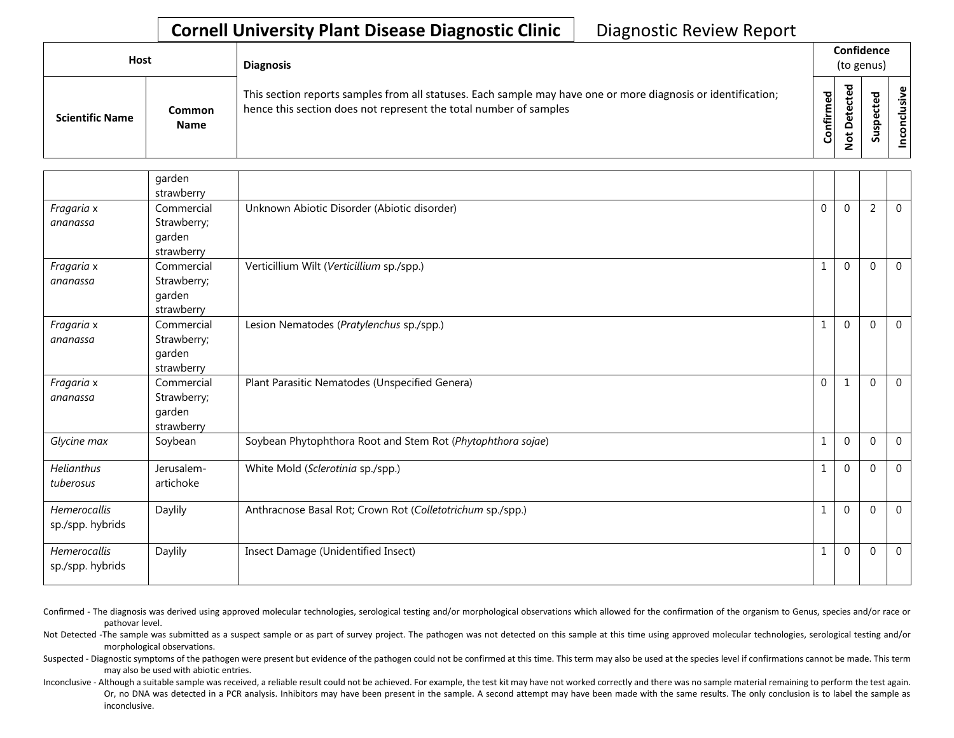| <b>Host</b>            |                       | <b>Diagnosis</b>                                                                                                                                                                   |                           | Confidence<br>(to genus)                        |              |                             |  |  |  |
|------------------------|-----------------------|------------------------------------------------------------------------------------------------------------------------------------------------------------------------------------|---------------------------|-------------------------------------------------|--------------|-----------------------------|--|--|--|
| <b>Scientific Name</b> | Common<br><b>Name</b> | This section reports samples from all statuses. Each sample may have one or more diagnosis or identification;<br>hence this section does not represent the total number of samples | 5g<br>Ē<br>≐.<br><b>G</b> | ᅙ<br>ڣ<br>ں<br>ω<br>ىپ<br>ω<br>۵<br>پ<br>Ö<br>- | ᇃ<br>S<br>ഄഁ | $\mathbf \omega$<br>.≥<br>š |  |  |  |

|                                  | garden<br>strawberry                              |                                                             |              |                |                |                |
|----------------------------------|---------------------------------------------------|-------------------------------------------------------------|--------------|----------------|----------------|----------------|
| Fragaria x<br>ananassa           | Commercial<br>Strawberry;<br>garden<br>strawberry | Unknown Abiotic Disorder (Abiotic disorder)                 | $\Omega$     | $\Omega$       | $\overline{2}$ | $\Omega$       |
| Fragaria x<br>ananassa           | Commercial<br>Strawberry;<br>garden<br>strawberry | Verticillium Wilt (Verticillium sp./spp.)                   | $\mathbf{1}$ | $\mathbf 0$    | $\Omega$       | $\mathbf{0}$   |
| Fragaria x<br>ananassa           | Commercial<br>Strawberry;<br>garden<br>strawberry | Lesion Nematodes (Pratylenchus sp./spp.)                    | $\mathbf{1}$ | $\mathbf 0$    | $\mathbf{0}$   | $\overline{0}$ |
| Fragaria x<br>ananassa           | Commercial<br>Strawberry;<br>garden<br>strawberry | Plant Parasitic Nematodes (Unspecified Genera)              | $\mathbf 0$  | 1              | $\Omega$       | $\Omega$       |
| Glycine max                      | Soybean                                           | Soybean Phytophthora Root and Stem Rot (Phytophthora sojae) | 1            | $\overline{0}$ | $\mathbf 0$    | $\mathbf{0}$   |
| Helianthus<br>tuberosus          | Jerusalem-<br>artichoke                           | White Mold (Sclerotinia sp./spp.)                           | 1            | $\mathbf 0$    | $\mathbf{0}$   | $\mathbf 0$    |
| Hemerocallis<br>sp./spp. hybrids | Daylily                                           | Anthracnose Basal Rot; Crown Rot (Colletotrichum sp./spp.)  | $\mathbf{1}$ | $\overline{0}$ | $\Omega$       | $\Omega$       |
| Hemerocallis<br>sp./spp. hybrids | Daylily                                           | Insect Damage (Unidentified Insect)                         | $\mathbf 1$  | $\mathbf{0}$   | $\Omega$       | $\Omega$       |

Confirmed - The diagnosis was derived using approved molecular technologies, serological testing and/or morphological observations which allowed for the confirmation of the organism to Genus, species and/or race or pathovar level.

Not Detected -The sample was submitted as a suspect sample or as part of survey project. The pathogen was not detected on this sample at this time using approved molecular technologies, serological testing and/or morphological observations.

Suspected - Diagnostic symptoms of the pathogen were present but evidence of the pathogen could not be confirmed at this time. This term may also be used at the species level if confirmations cannot be made. This term may also be used with abiotic entries.